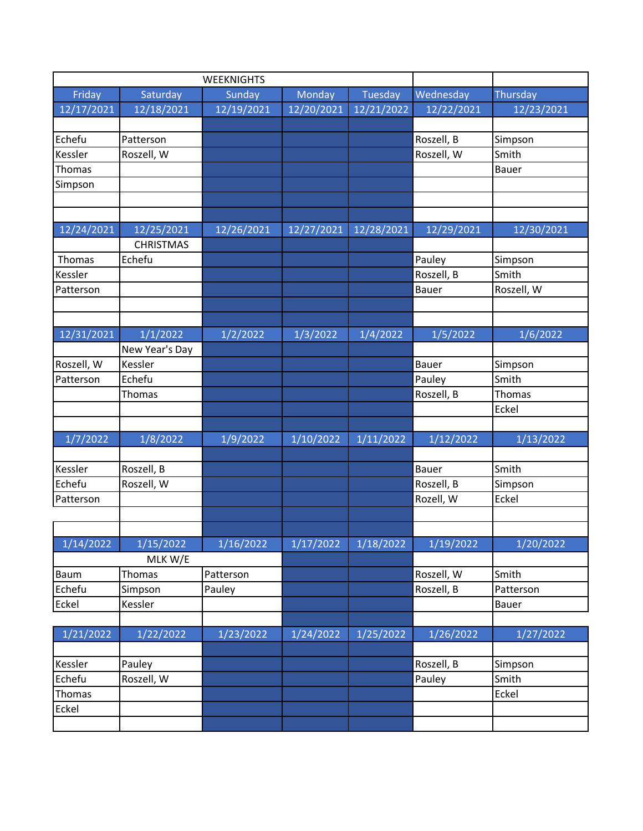| Friday<br>Saturday<br>Monday<br>Tuesday<br>Wednesday<br>Thursday<br>Sunday<br>12/17/2021<br>12/18/2021<br>12/19/2021<br>12/20/2021<br>12/21/2022<br>12/22/2021<br>12/23/2021<br>Echefu<br>Simpson<br>Patterson<br>Roszell, B<br>Roszell, W<br>Roszell, W<br>Kessler<br>Smith<br><b>Thomas</b><br>Bauer<br>Simpson<br>12/24/2021<br>12/25/2021<br>12/28/2021<br>12/29/2021<br>12/30/2021<br>12/26/2021<br>12/27/2021<br><b>CHRISTMAS</b><br>Pauley<br>Thomas<br>Echefu<br>Simpson<br>Roszell, B<br>Smith<br>Kessler |
|--------------------------------------------------------------------------------------------------------------------------------------------------------------------------------------------------------------------------------------------------------------------------------------------------------------------------------------------------------------------------------------------------------------------------------------------------------------------------------------------------------------------|
|                                                                                                                                                                                                                                                                                                                                                                                                                                                                                                                    |
|                                                                                                                                                                                                                                                                                                                                                                                                                                                                                                                    |
|                                                                                                                                                                                                                                                                                                                                                                                                                                                                                                                    |
|                                                                                                                                                                                                                                                                                                                                                                                                                                                                                                                    |
|                                                                                                                                                                                                                                                                                                                                                                                                                                                                                                                    |
|                                                                                                                                                                                                                                                                                                                                                                                                                                                                                                                    |
|                                                                                                                                                                                                                                                                                                                                                                                                                                                                                                                    |
|                                                                                                                                                                                                                                                                                                                                                                                                                                                                                                                    |
|                                                                                                                                                                                                                                                                                                                                                                                                                                                                                                                    |
|                                                                                                                                                                                                                                                                                                                                                                                                                                                                                                                    |
|                                                                                                                                                                                                                                                                                                                                                                                                                                                                                                                    |
|                                                                                                                                                                                                                                                                                                                                                                                                                                                                                                                    |
|                                                                                                                                                                                                                                                                                                                                                                                                                                                                                                                    |
| Roszell, W<br>Patterson<br><b>Bauer</b>                                                                                                                                                                                                                                                                                                                                                                                                                                                                            |
|                                                                                                                                                                                                                                                                                                                                                                                                                                                                                                                    |
|                                                                                                                                                                                                                                                                                                                                                                                                                                                                                                                    |
| 12/31/2021<br>1/1/2022<br>1/5/2022<br>1/6/2022<br>1/2/2022<br>1/3/2022<br>1/4/2022                                                                                                                                                                                                                                                                                                                                                                                                                                 |
| New Year's Day                                                                                                                                                                                                                                                                                                                                                                                                                                                                                                     |
| Roszell, W<br>Kessler<br><b>Bauer</b><br>Simpson                                                                                                                                                                                                                                                                                                                                                                                                                                                                   |
| Patterson<br>Echefu<br>Pauley<br>Smith                                                                                                                                                                                                                                                                                                                                                                                                                                                                             |
| Roszell, B<br><b>Thomas</b><br>Thomas                                                                                                                                                                                                                                                                                                                                                                                                                                                                              |
| Eckel                                                                                                                                                                                                                                                                                                                                                                                                                                                                                                              |
|                                                                                                                                                                                                                                                                                                                                                                                                                                                                                                                    |
| 1/7/2022<br>1/8/2022<br>1/11/2022<br>1/12/2022<br>1/13/2022<br>1/9/2022<br>1/10/2022                                                                                                                                                                                                                                                                                                                                                                                                                               |
|                                                                                                                                                                                                                                                                                                                                                                                                                                                                                                                    |
| Roszell, B<br>Smith<br>Kessler<br>Bauer                                                                                                                                                                                                                                                                                                                                                                                                                                                                            |
| Echefu<br>Roszell, W<br>Roszell, B<br>Simpson                                                                                                                                                                                                                                                                                                                                                                                                                                                                      |
| Rozell, W<br>Eckel<br>Patterson                                                                                                                                                                                                                                                                                                                                                                                                                                                                                    |
|                                                                                                                                                                                                                                                                                                                                                                                                                                                                                                                    |
|                                                                                                                                                                                                                                                                                                                                                                                                                                                                                                                    |
| 1/14/2022<br>1/15/2022<br>1/16/2022<br>1/17/2022<br>1/18/2022<br>1/19/2022<br>1/20/2022                                                                                                                                                                                                                                                                                                                                                                                                                            |
| MLK W/E                                                                                                                                                                                                                                                                                                                                                                                                                                                                                                            |
| Roszell, W<br>Smith<br><b>Thomas</b><br>Patterson<br><b>Baum</b>                                                                                                                                                                                                                                                                                                                                                                                                                                                   |
| Roszell, B<br>Echefu<br>Simpson<br>Pauley<br>Patterson                                                                                                                                                                                                                                                                                                                                                                                                                                                             |
| Eckel<br>Kessler<br>Bauer                                                                                                                                                                                                                                                                                                                                                                                                                                                                                          |
| 1/21/2022<br>1/22/2022<br>1/23/2022<br>1/26/2022<br>1/27/2022<br>1/24/2022                                                                                                                                                                                                                                                                                                                                                                                                                                         |
| 1/25/2022                                                                                                                                                                                                                                                                                                                                                                                                                                                                                                          |
| Roszell, B<br>Kessler<br>Pauley<br>Simpson                                                                                                                                                                                                                                                                                                                                                                                                                                                                         |
| Echefu<br>Roszell, W<br>Pauley<br>Smith                                                                                                                                                                                                                                                                                                                                                                                                                                                                            |
| Thomas<br>Eckel                                                                                                                                                                                                                                                                                                                                                                                                                                                                                                    |
| Eckel                                                                                                                                                                                                                                                                                                                                                                                                                                                                                                              |
|                                                                                                                                                                                                                                                                                                                                                                                                                                                                                                                    |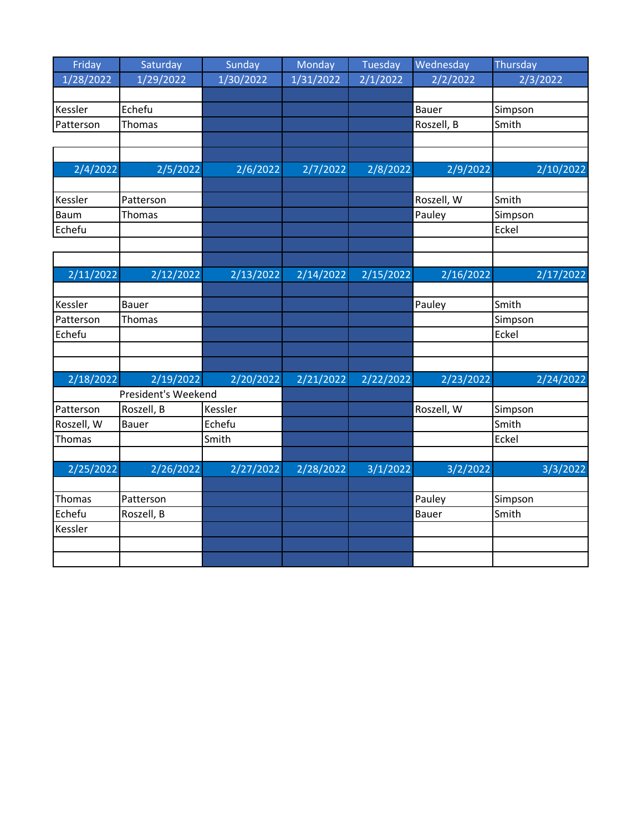| Friday              | Saturday      | Sunday    | Monday    | Tuesday   | Wednesday    | Thursday  |
|---------------------|---------------|-----------|-----------|-----------|--------------|-----------|
| 1/28/2022           | 1/29/2022     | 1/30/2022 | 1/31/2022 | 2/1/2022  | 2/2/2022     | 2/3/2022  |
|                     |               |           |           |           |              |           |
| Kessler             | Echefu        |           |           |           | <b>Bauer</b> | Simpson   |
| Patterson           | <b>Thomas</b> |           |           |           | Roszell, B   | Smith     |
|                     |               |           |           |           |              |           |
|                     |               |           |           |           |              |           |
| 2/4/2022            | 2/5/2022      | 2/6/2022  | 2/7/2022  | 2/8/2022  | 2/9/2022     | 2/10/2022 |
|                     |               |           |           |           |              |           |
| Kessler             | Patterson     |           |           |           | Roszell, W   | Smith     |
| Baum                | <b>Thomas</b> |           |           |           | Pauley       | Simpson   |
| Echefu              |               |           |           |           |              | Eckel     |
|                     |               |           |           |           |              |           |
|                     |               |           |           |           |              |           |
| 2/11/2022           | 2/12/2022     | 2/13/2022 | 2/14/2022 | 2/15/2022 | 2/16/2022    | 2/17/2022 |
|                     |               |           |           |           |              |           |
| Kessler             | <b>Bauer</b>  |           |           |           | Pauley       | Smith     |
| Patterson           | <b>Thomas</b> |           |           |           |              | Simpson   |
| Echefu              |               |           |           |           |              | Eckel     |
|                     |               |           |           |           |              |           |
|                     |               |           |           |           |              |           |
| 2/18/2022           | 2/19/2022     | 2/20/2022 | 2/21/2022 | 2/22/2022 | 2/23/2022    | 2/24/2022 |
| President's Weekend |               |           |           |           |              |           |
| Patterson           | Roszell, B    | Kessler   |           |           | Roszell, W   | Simpson   |
| Roszell, W          | Bauer         | Echefu    |           |           |              | Smith     |
| Thomas              |               | Smith     |           |           |              | Eckel     |
|                     |               |           |           |           |              |           |
| 2/25/2022           | 2/26/2022     | 2/27/2022 | 2/28/2022 | 3/1/2022  | 3/2/2022     | 3/3/2022  |
|                     |               |           |           |           |              |           |
| Thomas              | Patterson     |           |           |           | Pauley       | Simpson   |
| Echefu              | Roszell, B    |           |           |           | Bauer        | Smith     |
| Kessler             |               |           |           |           |              |           |
|                     |               |           |           |           |              |           |
|                     |               |           |           |           |              |           |